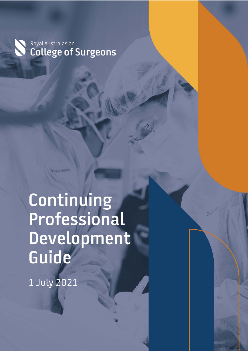Royal Australasian **College of Surgeons** 

**HALLYDRD** 

Continuing Professional Development Guide

Page 0 of 20

1 July 2021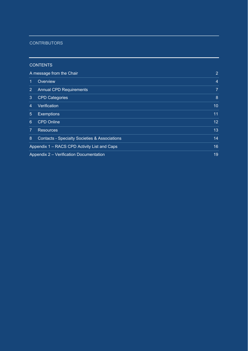#### **CONTRIBUTORS**

#### CONTENTS

÷

ċ

|                | A message from the Chair                                 |                |  |  |  |  |
|----------------|----------------------------------------------------------|----------------|--|--|--|--|
| 1              | Overview                                                 | $\overline{4}$ |  |  |  |  |
| $\overline{2}$ | <b>Annual CPD Requirements</b>                           | $\overline{7}$ |  |  |  |  |
| 3              | <b>CPD Categories</b>                                    | 8              |  |  |  |  |
| 4              | Verification                                             | 10             |  |  |  |  |
| 5              | <b>Exemptions</b>                                        | 11             |  |  |  |  |
| 6              | <b>CPD Online</b>                                        | 12             |  |  |  |  |
| 7              | <b>Resources</b>                                         | 13             |  |  |  |  |
| 8              | <b>Contacts - Specialty Societies &amp; Associations</b> | 14             |  |  |  |  |
|                | Appendix 1 - RACS CPD Activity List and Caps             | 16             |  |  |  |  |
|                | Appendix 2 - Verification Documentation                  | 19             |  |  |  |  |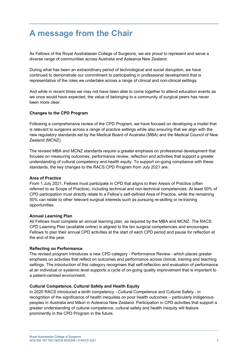### **A message from the Chair**

As Fellows of the Royal Australasian College of Surgeons, we are proud to represent and serve a diverse range of communities across Australia and Aotearoa New Zealand.

During what has been an extraordinary period of technological and social disruption, we have continued to demonstrate our commitment to participating in professional development that is representative of the roles we undertake across a range of clinical and non-clinical settings.

And while in recent times we may not have been able to come together to attend education events as we once would have expected, the value of belonging to a community of surgical peers has never been more clear.

#### **Changes to the CPD Program**

Following a comprehensive review of the CPD Program, we have focused on developing a model that is relevant to surgeons across a range of practice settings while also ensuring that we align with the new regulatory standards set by the Medical Board of Australia (MBA) and the Medical Council of New Zealand (MCNZ).

The revised MBA and MCNZ standards require a greater emphasis on professional development that focuses on measuring outcomes, performance review, reflection and activities that support a greater understanding of cultural competency and health equity. To support on-going compliance with these standards, the key changes to the RACS CPD Program from July 2021 are:

#### **Area of Practice**

From 1 July 2021, Fellows must participate in CPD that aligns to their Area/s of Practice (often referred to as Scope of Practice), including technical and non-technical competencies. At least 50% of CPD participation must directly relate to a Fellow's self-defined Area of Practice, while the remaining 50% can relate to other relevant surgical interests such as pursuing re-skilling or re-training opportunities.

#### **Annual Learning Plan**

All Fellows must complete an annual learning plan, as required by the MBA and MCNZ. The RACS CPD Learning Plan (available online) is aligned to the ten surgical competencies and encourages Fellows to plan their annual CPD activities at the start of each CPD period and pause for reflection at the end of the year.

#### **Reflecting on Performance**

The revised program introduces a new CPD category - Performance Review - which places greater emphasis on activities that reflect on outcomes and performance across clinical, training and teaching settings. The introduction of this category recognises that self-reflection and evaluation of performance at an individual or systemic level supports a cycle of on-going quality improvement that is important to a patient-centred environment.

#### **Cultural Competence, Cultural Safety and Health Equity**

In 2020 RACS introduced a tenth competency - Cultural Competence and Cultural Safety - in recognition of the significance of health inequities on poor health outcomes – particularly Indigenous peoples in Australia and Māori in Aotearoa New Zealand. Participation in CPD activities that support a greater understanding of cultural competence, cultural safety and health inequity will feature prominently in the CPD Program in the future.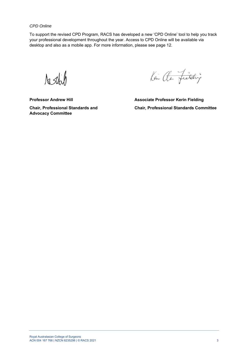*CPD Online*

To support the revised CPD Program, RACS has developed a new 'CPD Online' tool to help you track your professional development throughout the year. Access to CPD Online will be available via desktop and also as a mobile app. For more information, please see page 12.

Astich

Kin at fielding

**Professor Andrew Hill Consultance Associate Professor Kerin Fielding Advocacy Committee** 

**Chair, Professional Standards and Chair, Professional Standards Committee**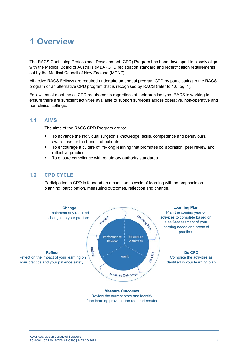### **1 Overview**

The RACS Continuing Professional Development (CPD) Program has been developed to closely align with the Medical Board of Australia (MBA) CPD registration standard and recertification requirements set by the Medical Council of New Zealand (MCNZ).

All active RACS Fellows are required undertake an annual program CPD by participating in the RACS program or an alternative CPD program that is recognised by RACS (refer to 1.6, pg. 4).

Fellows must meet the all CPD requirements regardless of their practice type. RACS is working to ensure there are sufficient activities available to support surgeons across operative, non-operative and non-clinical settings.

#### **1.1 AIMS**

The aims of the RACS CPD Program are to:

- To advance the individual surgeon's knowledge, skills, competence and behavioural awareness for the benefit of patients
- To encourage a culture of life-long learning that promotes collaboration, peer review and reflective practice
- To ensure compliance with regulatory authority standards

#### **1.2 CPD CYCLE**

Participation in CPD is founded on a continuous cycle of learning with an emphasis on planning, participation, measuring outcomes, reflection and change.



Review the current state and identify if the learning provided the required results.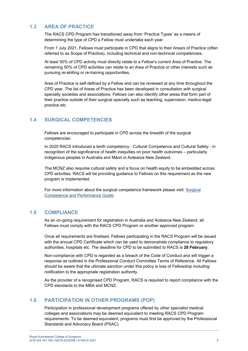#### **1.3 AREA OF PRACTICE**

The RACS CPD Program has transitioned away from 'Practice Types' as a means of determining the type of CPD a Fellow must undertake each year.

From 1 July 2021, Fellows must participate in CPD that aligns to their Area/s of Practice (often referred to as Scope of Practice), including technical and non-technical competencies.

At least 50% of CPD activity must directly relate to a Fellow's current Area of Practice. The remaining 50% of CPD activities can relate to an Area of Practice or other interests such as pursuing re-skilling or re-training opportunities.

Area of Practice is self-defined by a Fellow and can be reviewed at any time throughout the CPD year. The list of Areas of Practice has been developed in consultation with surgical specialty societies and associations. Fellows can also identify other areas that form part of their practice outside of their surgical specialty such as teaching, supervision, medico-legal practice etc.

#### **1.4 SURGICAL COMPETENCIES**

Fellows are encouraged to participate in CPD across the breadth of the surgical competencies.

In 2020 RACS introduced a tenth competency - Cultural Competence and Cultural Safety - in recognition of the significance of health inequities on poor health outcomes – particularly Indigenous peoples in Australia and Māori in Aotearoa New Zealand.

The MCNZ also requires cultural safety and a focus on health equity to be embedded across CPD activities. RACS will be providing guidance to Fellows on this requirement as the new program is implemented.

For more information about the surgical competence framework please visit: Surgical Competence and Performance Guide.

#### **1.5 COMPLIANCE**

As an on-going requirement for registration in Australia and Aotearoa New Zealand, all Fellows must comply with the RACS CPD Program or another approved program.

Once all requirements are finalised, Fellows participating in the RACS Program will be issued with the annual CPD Certificate which can be used to demonstrate compliance to regulatory authorities, hospitals etc. The deadline for CPD to be submitted to RACS is **28 February**.

Non-compliance with CPD is regarded as a breach of the Code of Conduct and will trigger a response as outlined in the Professional Conduct Committee Terms of Reference. All Fellows should be aware that the ultimate sanction under this policy is loss of Fellowship including notification to the appropriate registration authority.

As the provider of a recognised CPD Program, RACS is required to report compliance with the CPD standards to the MBA and MCNZ.

#### **1.6 PARTICIPATION IN OTHER PROGRAMS (POP)**

Participation in professional development programs offered by other specialist medical colleges and associations may be deemed equivalent to meeting RACS CPD Program requirements. To be deemed equivalent, programs must first be approved by the Professional Standards and Advocacy Board (PSAC).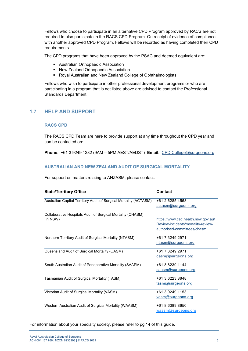Fellows who choose to participate in an alternative CPD Program approved by RACS are not required to also participate in the RACS CPD Program. On receipt of evidence of compliance with another approved CPD Program, Fellows will be recorded as having completed their CPD requirements.

The CPD programs that have been approved by the PSAC and deemed equivalent are:

- Australian Orthopaedic Association
- New Zealand Orthopaedic Association
- Royal Australian and New Zealand College of Ophthalmologists

Fellows who wish to participate in other professional development programs or who are participating in a program that is not listed above are advised to contact the Professional Standards Department.

#### **1.7 HELP AND SUPPORT**

#### **RACS CPD**

The RACS CPD Team are here to provide support at any time throughout the CPD year and can be contacted on:

**Phone**: +61 3 9249 1282 (9AM – 5PM AEST/AEDST) **Email**: CPD.College@surgeons.org

#### **AUSTRALIAN AND NEW ZEALAND AUDIT OF SURGICAL MORTALITY**

For support on matters relating to ANZASM, please contact:

| <b>State/Territory Office</b>                                     | <b>Contact</b>                     |
|-------------------------------------------------------------------|------------------------------------|
| Australian Capital Territory Audit of Surgical Mortality (ACTASM) | +61 2 6285 4558                    |
|                                                                   | actasm@surgeons.org                |
| Collaborative Hospitals Audit of Surgical Mortality (CHASM)       |                                    |
| (in NSW)                                                          | https://www.cec.health.nsw.gov.au/ |
|                                                                   | Review-incidents/mortality-review- |
|                                                                   | authorised-committees/chasm        |
| Northern Territory Audit of Surgical Mortality (NTASM)            | +61 7 3249 2971                    |
|                                                                   | ntasm@surgeons.org                 |
| Queensland Audit of Surgical Mortality (QASM)                     | +61 7 3249 2971                    |
|                                                                   | gasm@surgeons.org                  |
| South Australian Audit of Perioperative Mortality (SAAPM)         | +61 8 8239 1144                    |
|                                                                   | saasm@surgeons.org                 |
| Tasmanian Audit of Surgical Mortality (TASM)                      | +61 3 6223 8848                    |
|                                                                   | tasm@surgeons.org                  |
| Victorian Audit of Surgical Mortality (VASM)                      | +61 3 9249 1153                    |
|                                                                   | vasm@surgeons.org                  |
| Western Australian Audit of Surgical Mortality (WAASM)            | +61 8 6389 8650                    |
|                                                                   | waasm@surgeons.org                 |

For information about your specialty society, please refer to pg.14 of this guide.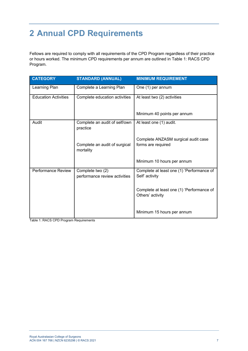## **2 Annual CPD Requirements**

Fellows are required to comply with all requirements of the CPD Program regardless of their practice or hours worked. The minimum CPD requirements per annum are outlined in Table 1: RACS CPD Program.

| <b>CATEGORY</b>             | <b>STANDARD (ANNUAL)</b>                          | <b>MINIMUM REQUIREMENT</b>                                    |
|-----------------------------|---------------------------------------------------|---------------------------------------------------------------|
| Learning Plan               | Complete a Learning Plan                          | One (1) per annum                                             |
| <b>Education Activities</b> | Complete education activities                     | At least two (2) activities                                   |
|                             |                                                   | Minimum 40 points per annum                                   |
| Audit                       | Complete an audit of self/own<br>practice         | At least one (1) audit.                                       |
|                             | Complete an audit of surgical<br>mortality        | Complete ANZASM surgical audit case<br>forms are required     |
|                             |                                                   | Minimum 10 hours per annum                                    |
| <b>Performance Review</b>   | Complete two (2)<br>performance review activities | Complete at least one (1) 'Performance of<br>Self' activity   |
|                             |                                                   | Complete at least one (1) 'Performance of<br>Others' activity |
|                             |                                                   | Minimum 15 hours per annum                                    |

Table 1: RACS CPD Program Requirements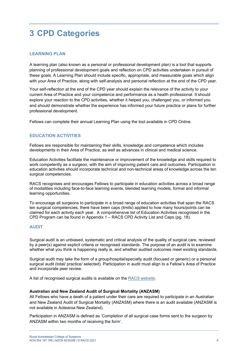### **3 CPD Categories**

#### **LEARNING PLAN**

A learning plan (also known as a personal or professional development plan) is a tool that supports planning of professional development goals and reflection on CPD activities undertaken in pursuit of these goals. A Learning Plan should include specific, appropriate, and measurable goals which align with your Area of Practice, along with self-analysis and personal reflection at the end of the CPD year.

Your self-reflection at the end of the CPD year should explain the relevance of the activity to your current Area of Practice and your competence and performance as a health professional. It should explore your reaction to the CPD activities, whether it helped you, challenged you, or informed you and should demonstrate whether the experience has informed your future practice or plans for further professional development.

Fellows can complete their annual Learning Plan using the tool available in CPD Online.

#### **EDUCATION ACTIVITIES**

Fellows are responsible for maintaining their skills, knowledge and competence which includes developments in their Area of Practice, as well as advances in clinical and medical science.

Education Activities facilitate the maintenance or improvement of the knowledge and skills required to work competently as a surgeon, with the aim of improving patient care and outcomes. Participation in education activities should incorporate technical and non-technical areas of knowledge across the ten surgical competencies.

RACS recognises and encourages Fellows to participate in education activities across a broad range of modalities including face-to-face learning events, blended learning models, formal and informal learning opportunities.

To encourage all surgeons to participate in a broad range of education activities that span the RACS ten surgical competencies, there have been caps (limits) applied to how many hours/points can be claimed for each activity each year. A comprehensive list of Education Activities recognised in the CPD Program can be found in Appendix 1 – RACS CPD Activity List and Caps (pg. 18).

#### **AUDIT**

Surgical audit is an unbiased, systematic and critical analysis of the quality of surgical care, reviewed by a peer(s) against explicit criteria or recognised standards. The purpose of an audit is to examine whether what you think is happening really is, and whether audited outcomes meet existing standards.

Surgical audit may take the form of a group/hospital/specialty audit (focused or generic) or a personal surgical audit (total/ practice/ selected). Participation in audit must align to a Fellow's Area of Practice and incorporate peer review.

A list of recognised surgical audits is available on the RACS website.

#### **Australian and New Zealand Audit of Surgical Mortality (ANZASM)**

All Fellows who have a death of a patient under their care are required to participate in an Australian and New Zealand Audit of Surgical Mortality (ANZASM) where there is an audit available (ANZASM is not available in Aotearoa New Zealand).

Participation in ANZASM is defined as 'Completion of all surgical case forms sent to the surgeon by ANZASM within two months of receiving the form'.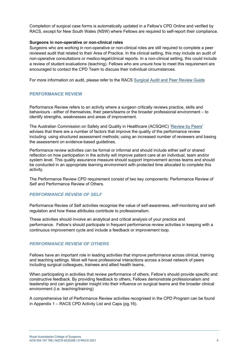Completion of surgical case forms is automatically updated in a Fellow's CPD Online and verified by RACS, except for New South Wales (NSW) where Fellows are required to self-report their compliance.

#### **Surgeons in non-operative or non-clinical roles**

Surgeons who are working in non-operative or non-clinical roles are still required to complete a peer reviewed audit that related to their Area of Practice. In the clinical setting, this may include an audit of non-operative consultations or medico-legal/clinical reports. In a non-clinical setting, this could include a review of student evaluations (teaching). Fellows who are unsure how to meet this requirement are encouraged to contact the CPD Team to discuss their individual circumstances.

For more information on audit, please refer to the RACS Surgical Audit and Peer Review Guide

#### **PERFORMANCE REVIEW**

Performance Review refers to an activity where a surgeon critically reviews practice, skills and behaviours - either of themselves, their peers/teams or the broader professional environment – to identify strengths, weaknesses and areas of improvement.

The Australian Commission on Safety and Quality in Healthcare (ACSQHC) 'Review by Peers' advises that there are a number of factors that improve the quality of the performance review including: using structured assessment methods; using an increased number of reviewers and basing the assessment on evidence-based guidelines.

Performance review activities can be formal or informal and should include either self or shared reflection on how participation in the activity will improve patient care at an individual, team and/or system level. This quality assurance measure should support improvement across teams and should be conducted in an appropriate learning environment with protected time allocated to complete this activity.

The Performance Review CPD requirement consist of two key components: Performance Review of Self and Performance Review of Others.

#### *PERFORMANCE REVIEW OF SELF*

Performance Review of Self activities recognise the value of self-awareness, self-monitoring and selfregulation and how these attributes contribute to professionalism.

These activities should involve an analytical and critical analysis of your practice and performance. Fellow's should participate in frequent performance review activities in keeping with a continuous improvement cycle and include a feedback or improvement loop.

#### *PERFORMANCE REVIEW OF OTHERS*

Fellows have an important role in leading activities that improve performance across clinical, training and teaching settings. Most will have professional interactions across a broad network of peers including surgical colleagues, trainees and allied health teams.

When participating in activities that review performance of others, Fellow's should provide specific and constructive feedback. By providing feedback to others, Fellows demonstrate professionalism and leadership and can gain greater insight into their influence on surgical teams and the broader clinical environment (i.e. teaching/training)

A comprehensive list of Performance Review activities recognised in the CPD Program can be found in Appendix 1 – RACS CPD Activity List and Caps (pg.16).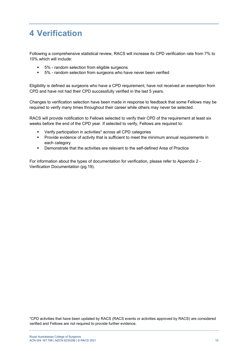### **4 Verification**

Following a comprehensive statistical review, RACS will increase its CPD verification rate from 7% to 10% which will include:

- 5% random selection from eligible surgeons
- 5% random selection from surgeons who have never been verified

Eligibility is defined as surgeons who have a CPD requirement, have not received an exemption from CPD and have not had their CPD successfully verified in the last 5 years.

Changes to verification selection have been made in response to feedback that some Fellows may be required to verify many times throughout their career while others may never be selected.

RACS will provide notification to Fellows selected to verify their CPD of the requirement at least six weeks before the end of the CPD year. If selected to verify, Fellows are required to:

- Verify participation in activities\* across all CPD categories
- Provide evidence of activity that is sufficient to meet the minimum annual requirements in each category
- Demonstrate that the activities are relevant to the self-defined Area of Practice

For information about the types of documentation for verification, please refer to Appendix 2 - Verification Documentation (pg.19).

\*CPD activities that have been updated by RACS (RACS events or activities approved by RACS) are considered verified and Fellows are not required to provide further evidence.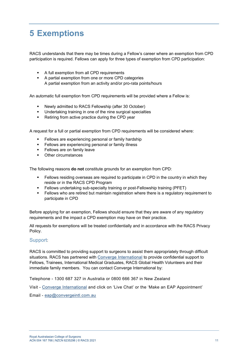### **5 Exemptions**

RACS understands that there may be times during a Fellow's career where an exemption from CPD participation is required. Fellows can apply for three types of exemption from CPD participation:

- A full exemption from all CPD requirements
- A partial exemption from one or more CPD categories A partial exemption from an activity and/or pro-rata points/hours

An automatic full exemption from CPD requirements will be provided where a Fellow is:

- Newly admitted to RACS Fellowship (after 30 October)
- Undertaking training in one of the nine surgical specialties
- Retiring from active practice during the CPD year

A request for a full or partial exemption from CPD requirements will be considered where:

- Fellows are experiencing personal or family hardship
- Fellows are experiencing personal or family illness
- **Fellows are on family leave**
- **Cither circumstances**

The following reasons **do not** constitute grounds for an exemption from CPD:

- Fellows residing overseas are required to participate in CPD in the country in which they reside or in the RACS CPD Program
- Fellows undertaking sub-specialty training or post-Fellowship training (PFET)
- Fellows who are retired but maintain registration where there is a regulatory requirement to participate in CPD

Before applying for an exemption, Fellows should ensure that they are aware of any regulatory requirements and the impact a CPD exemption may have on their practice.

All requests for exemptions will be treated confidentially and in accordance with the RACS Privacy Policy.

#### Support:

RACS is committed to providing support to surgeons to assist them appropriately through difficult situations. RACS has partnered with Converge International to provide confidential support to Fellows, Trainees, International Medical Graduates, RACS Global Health Volunteers and their immediate family members. You can contact Converge International by:

Telephone - 1300 687 327 in Australia or 0800 666 367 in New Zealand

Visit - Converge International and click on 'Live Chat' or the 'Make an EAP Appointment'

Email - eap@convergeintl.com.au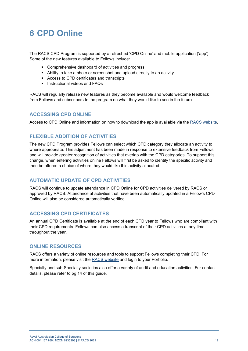### **6 CPD Online**

The RACS CPD Program is supported by a refreshed 'CPD Online' and mobile application ('app'). Some of the new features available to Fellows include:

- **EXECOMPTER COMPTERENT COMPTER** Comprehensive dashboard of activities and progress
- Ability to take a photo or screenshot and upload directly to an activity
- Access to CPD certificates and transcripts
- $\blacksquare$  Instructional videos and FAQs

RACS will regularly release new features as they become available and would welcome feedback from Fellows and subscribers to the program on what they would like to see in the future.

#### **ACCESSING CPD ONLINE**

Access to CPD Online and information on how to download the app is available via the RACS website.

#### **FLEXIBLE ADDITION OF ACTIVITIES**

The new CPD Program provides Fellows can select which CPD category they allocate an activity to where appropriate. This adjustment has been made in response to extensive feedback from Fellows and will provide greater recognition of activities that overlap with the CPD categories. To support this change, when entering activities online Fellows will first be asked to identify the specific activity and then be offered a choice of where they would like this activity allocated.

#### **AUTOMATIC UPDATE OF CPD ACTIVITIES**

RACS will continue to update attendance in CPD Online for CPD activities delivered by RACS or approved by RACS. Attendance at activities that have been automatically updated in a Fellow's CPD Online will also be considered automatically verified.

#### **ACCESSING CPD CERTIFICATES**

An annual CPD Certificate is available at the end of each CPD year to Fellows who are compliant with their CPD requirements. Fellows can also access a transcript of their CPD activities at any time throughout the year.

#### **ONLINE RESOURCES**

RACS offers a variety of online resources and tools to support Fellows completing their CPD. For more information, please visit the RACS website and login to your Portfolio.

Specialty and sub-Specialty societies also offer a variety of audit and education activities. For contact details, please refer to pg.14 of this guide.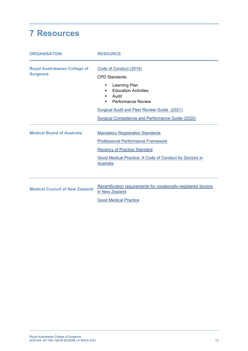### **7 Resources**

| <b>ORGANISATION</b>                                     | <b>RESOURCE</b>                                                                                                                                                                                                                                    |  |  |  |  |  |  |
|---------------------------------------------------------|----------------------------------------------------------------------------------------------------------------------------------------------------------------------------------------------------------------------------------------------------|--|--|--|--|--|--|
| <b>Royal Australasian College of</b><br><b>Surgeons</b> | Code of Conduct (2016)<br><b>CPD Standards:</b><br>Learning Plan<br>٠<br><b>Education Activities</b><br>Audit<br><b>Performance Review</b><br>٠<br>Surgical Audit and Peer Review Guide (2021)<br>Surgical Competence and Performance Guide (2020) |  |  |  |  |  |  |
| <b>Medical Board of Australia</b>                       | <b>Mandatory Registration Standards</b><br><b>Professional Performance Framework</b><br><b>Recency of Practice Standard</b><br>Good Medical Practice: A Code of Conduct for Doctors in<br><b>Australia</b>                                         |  |  |  |  |  |  |
| <b>Medical Council of New Zealand</b>                   | Recertification requirements for vocationally-registered doctors<br>in New Zealand<br><b>Good Medical Practice</b>                                                                                                                                 |  |  |  |  |  |  |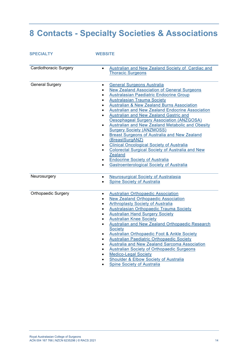# **8 Contacts - Specialty Societies & Associations**

| <b>SPECIALTY</b>              | <b>WEBSITE</b>                                                                                                                                                                                                                                                                                                                                                                                                                                                                                                                                                                                                                                                                                                                                                                                                                                                          |
|-------------------------------|-------------------------------------------------------------------------------------------------------------------------------------------------------------------------------------------------------------------------------------------------------------------------------------------------------------------------------------------------------------------------------------------------------------------------------------------------------------------------------------------------------------------------------------------------------------------------------------------------------------------------------------------------------------------------------------------------------------------------------------------------------------------------------------------------------------------------------------------------------------------------|
| <b>Cardiothoracic Surgery</b> | Australian and New Zealand Society of Cardiac and<br>$\bullet$<br><b>Thoracic Surgeons</b>                                                                                                                                                                                                                                                                                                                                                                                                                                                                                                                                                                                                                                                                                                                                                                              |
| <b>General Surgery</b>        | <b>General Surgeons Australia</b><br>$\bullet$<br><b>New Zealand Association of General Surgeons</b><br>$\bullet$<br>Australasian Paediatric Endocrine Group<br><b>Australasian Trauma Society</b><br>$\bullet$<br><b>Australian &amp; New Zealand Burns Association</b><br>$\bullet$<br><b>Australian and New Zealand Endocrine Association</b><br>Australian and New Zealand Gastric and<br><b>Oesophageal Surgery Association (ANZGOSA)</b><br>Australian and New Zealand Metabolic and Obesity<br>$\bullet$<br><b>Surgery Society (ANZMOSS)</b><br><b>Breast Surgeons of Australia and New Zealand</b><br>$\bullet$<br>(BreastSurgANZ)<br><b>Clinical Oncological Society of Australia</b><br><b>Colorectal Surgical Society of Australia and New</b><br><b>Zealand</b><br><b>Endocrine Society of Australia</b><br><b>Gastroenterological Society of Australia</b> |
| Neurosurgery                  | <b>Neurosurgical Society of Australasia</b><br>$\bullet$<br>Spine Society of Australia<br>$\bullet$                                                                                                                                                                                                                                                                                                                                                                                                                                                                                                                                                                                                                                                                                                                                                                     |
| <b>Orthopaedic Surgery</b>    | <b>Australian Orthopaedic Association</b><br>$\bullet$<br><b>New Zealand Orthopaedic Association</b><br>$\bullet$<br>Arthroplasty Society of Australia<br>$\bullet$<br><b>Australasian Orthopaedic Trauma Society</b><br>$\bullet$<br><b>Australian Hand Surgery Society</b><br>$\bullet$<br><b>Australian Knee Society</b><br>$\bullet$<br>Australian and New Zealand Orthopaedic Research<br>$\bullet$<br>Society<br><b>Australian Orthopaedic Foot &amp; Ankle Society</b><br><b>Australian Paediatric Orthopaedic Society</b><br>$\bullet$<br>Australia and New Zealand Sarcoma Association<br>$\bullet$<br>Australian Society of Orthopaedic Surgeons<br>$\bullet$<br><b>Medico-Legal Society</b><br>$\bullet$<br>Shoulder & Elbow Society of Australia                                                                                                            |

**Spine Society of Australia**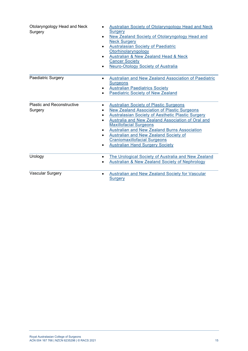| Otolaryngology Head and Neck<br>Surgery      | <b>Australian Society of Otolaryngology Head and Neck</b><br>Surgery<br>New Zealand Society of Otolaryngology Head and<br>$\bullet$<br><b>Neck Surgery</b><br><b>Australasian Society of Paediatric</b><br>Otorhinolaryngology<br>Australian & New Zealand Head & Neck<br><b>Cancer Society</b><br><b>Neuro-Otology Society of Australia</b>                                                                                                       |
|----------------------------------------------|----------------------------------------------------------------------------------------------------------------------------------------------------------------------------------------------------------------------------------------------------------------------------------------------------------------------------------------------------------------------------------------------------------------------------------------------------|
| Paediatric Surgery                           | Australian and New Zealand Association of Paediatric<br>$\bullet$<br><b>Surgeons</b><br><b>Australian Paediatrics Society</b><br><b>Paediatric Society of New Zealand</b>                                                                                                                                                                                                                                                                          |
| <b>Plastic and Reconstructive</b><br>Surgery | <b>Australian Society of Plastic Surgeons</b><br>$\bullet$<br><b>New Zealand Association of Plastic Surgeons</b><br>Australasian Society of Aesthetic Plastic Surgery<br>Australia and New Zealand Association of Oral and<br><b>Maxillofacial Surgeons</b><br>Australian and New Zealand Burns Association<br>$\bullet$<br>Australian and New Zealand Society of<br><b>Craniomaxillofacial Surgeons</b><br><b>Australian Hand Surgery Society</b> |
| Urology                                      | The Urological Society of Australia and New Zealand<br><b>Australian &amp; New Zealand Society of Nephrology</b>                                                                                                                                                                                                                                                                                                                                   |
| <b>Vascular Surgery</b>                      | Australian and New Zealand Society for Vascular<br>$\bullet$<br><b>Surgery</b>                                                                                                                                                                                                                                                                                                                                                                     |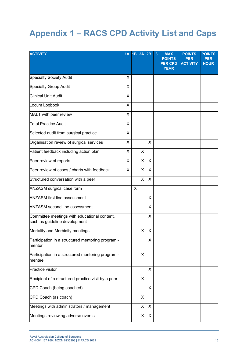# **Appendix 1 – RACS CPD Activity List and Caps**

| <b>ACTIVITY</b>                                                               | 1A | 1B | <b>2A 2B</b> |   | 3 | <b>MAX</b><br><b>POINTS</b><br><b>PER CPD</b><br><b>YEAR</b> | <b>POINTS</b><br><b>PER</b><br><b>ACTIVITY</b> | <b>POINTS</b><br><b>PER</b><br><b>HOUR</b> |
|-------------------------------------------------------------------------------|----|----|--------------|---|---|--------------------------------------------------------------|------------------------------------------------|--------------------------------------------|
| <b>Specialty Society Audit</b>                                                | X  |    |              |   |   |                                                              |                                                |                                            |
| <b>Specialty Group Audit</b>                                                  | X  |    |              |   |   |                                                              |                                                |                                            |
| <b>Clinical Unit Audit</b>                                                    | X  |    |              |   |   |                                                              |                                                |                                            |
| Locum Logbook                                                                 | X  |    |              |   |   |                                                              |                                                |                                            |
| MALT with peer review                                                         | X  |    |              |   |   |                                                              |                                                |                                            |
| Total Practice Audit                                                          | X  |    |              |   |   |                                                              |                                                |                                            |
| Selected audit from surgical practice                                         | X  |    |              |   |   |                                                              |                                                |                                            |
| Organisation review of surgical services                                      | Χ  |    |              | X |   |                                                              |                                                |                                            |
| Patient feedback including action plan                                        | X  |    | $\times$     |   |   |                                                              |                                                |                                            |
| Peer review of reports                                                        | X  |    | $\sf X$      | X |   |                                                              |                                                |                                            |
| Peer review of cases / charts with feedback                                   | X  |    | X            | X |   |                                                              |                                                |                                            |
| Structured conversation with a peer                                           |    |    | $\times$     | X |   |                                                              |                                                |                                            |
| ANZASM surgical case form                                                     |    | X  |              |   |   |                                                              |                                                |                                            |
| <b>ANZASM first line assessment</b>                                           |    |    |              | X |   |                                                              |                                                |                                            |
| <b>ANZASM second line assessment</b>                                          |    |    |              | X |   |                                                              |                                                |                                            |
| Committee meetings with educational content,<br>such as guideline development |    |    |              | X |   |                                                              |                                                |                                            |
| Mortality and Morbidity meetings                                              |    |    | X            | X |   |                                                              |                                                |                                            |
| Participation in a structured mentoring program -<br>mentor                   |    |    |              | X |   |                                                              |                                                |                                            |
| Participation in a structured mentoring program -<br>mentee                   |    |    | X            |   |   |                                                              |                                                |                                            |
| Practice visitor                                                              |    |    |              | X |   |                                                              |                                                |                                            |
| Recipient of a structured practice visit by a peer                            |    |    | X            |   |   |                                                              |                                                |                                            |
| CPD Coach (being coached)                                                     |    |    |              | X |   |                                                              |                                                |                                            |
| CPD Coach (as coach)                                                          |    |    | X            |   |   |                                                              |                                                |                                            |
| Meetings with administrators / management                                     |    |    | X            | X |   |                                                              |                                                |                                            |
| Meetings reviewing adverse events                                             |    |    | X            | X |   |                                                              |                                                |                                            |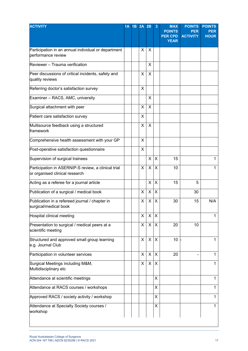| <b>ACTIVITY</b>                                                                       | 1A | 1B 2A 2B |   |    | 3              | <b>MAX</b><br><b>POINTS</b><br><b>PER CPD</b><br><b>YEAR</b> | <b>POINTS</b><br><b>PER</b><br><b>ACTIVITY</b> | <b>POINTS</b><br><b>PER</b><br><b>HOUR</b> |
|---------------------------------------------------------------------------------------|----|----------|---|----|----------------|--------------------------------------------------------------|------------------------------------------------|--------------------------------------------|
|                                                                                       |    |          |   |    |                |                                                              |                                                |                                            |
| Participation in an annual individual or department<br>performance review             |    |          | X | X  |                |                                                              |                                                |                                            |
| Reviewer - Trauma verification                                                        |    |          |   | X  |                |                                                              |                                                |                                            |
| Peer discussions of critical incidents, safety and<br>quality reviews                 |    |          | X | X  |                |                                                              |                                                |                                            |
| Referring doctor's satisfaction survey                                                |    |          | X |    |                |                                                              |                                                |                                            |
| Examiner - RACS, AMC, university                                                      |    |          |   | X  |                |                                                              |                                                |                                            |
| Surgical attachment with peer                                                         |    |          | X | X  |                |                                                              |                                                |                                            |
| Patient care satisfaction survey                                                      |    |          | X |    |                |                                                              |                                                |                                            |
| Multisource feedback using a structured<br>framework                                  |    |          | X | X  |                |                                                              |                                                |                                            |
| Comprehensive health assessment with your GP                                          |    |          | X |    |                |                                                              |                                                |                                            |
| Post-operative satisfaction questionnaire                                             |    |          | X |    |                |                                                              |                                                |                                            |
| Supervision of surgical trainees                                                      |    |          |   | X  | X              | 15                                                           |                                                | 1                                          |
| Participation in ASERNIP-S review, a clinical trial<br>or organised clinical research |    |          | X | X. | X              | 10                                                           |                                                | 1                                          |
| Acting as a referee for a journal article                                             |    |          |   | X  | X              | 15                                                           | 5                                              |                                            |
| Publication of a surgical / medical book                                              |    |          | X | X  | X              |                                                              | 30                                             |                                            |
| Publication in a refereed journal / chapter in<br>surgical/medical book               |    |          | X | X  | $\pmb{\times}$ | 30                                                           | 15                                             | N/A                                        |
| Hospital clinical meeting                                                             |    |          | X | X  | X              |                                                              |                                                | 1                                          |
| Presentation to surgical / medical peers at a<br>scientific meeting                   |    |          | X | X  | X              | 20                                                           | 10                                             |                                            |
| Structured and approved small group learning<br>e.g. Journal Club                     |    |          | X | X  | X              | 10                                                           |                                                | 1                                          |
| Participation in volunteer services                                                   |    |          | X | X  | X              | 20                                                           |                                                | $\mathbf{1}$                               |
| Surgical Meetings including M&M,<br>Multidisciplinary etc                             |    |          | X | X  | X              |                                                              |                                                | 1                                          |
| Attendance at scientific meetings                                                     |    |          |   |    | X              |                                                              |                                                | 1                                          |
| Attendance at RACS courses / workshops                                                |    |          |   |    | X              |                                                              |                                                | 1                                          |
| Approved RACS / society activity / workshop                                           |    |          |   |    | X              |                                                              |                                                | 1                                          |
| Attendance at Specialty Society courses /<br>workshop                                 |    |          |   |    | X              |                                                              |                                                | 1                                          |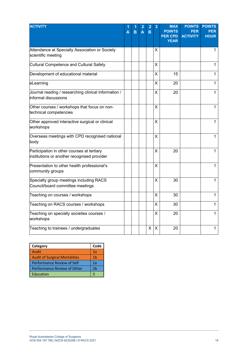| <b>ACTIVITY</b>                                                                           | А | B | A | 2<br>B | 3        | <b>MAX</b><br><b>POINTS</b><br><b>PER CPD</b> | <b>POINTS</b><br>PER<br><b>ACTIVITY</b> | <b>POINTS</b><br><b>PER</b><br><b>HOUR</b> |
|-------------------------------------------------------------------------------------------|---|---|---|--------|----------|-----------------------------------------------|-----------------------------------------|--------------------------------------------|
|                                                                                           |   |   |   |        |          | <b>YEAR</b>                                   |                                         |                                            |
| Attendance at Specialty Association or Society<br>scientific meeting                      |   |   |   |        | Χ        |                                               |                                         | 1                                          |
| Cultural Competence and Cultural Safety                                                   |   |   |   |        | X        |                                               |                                         | $\mathbf{1}$                               |
| Development of educational material                                                       |   |   |   |        | X        | 15                                            |                                         | $\mathbf{1}$                               |
| eLearning                                                                                 |   |   |   |        | X        | 20                                            |                                         | $\mathbf 1$                                |
| Journal reading / researching clinical information /<br>informal discussions              |   |   |   |        | х        | 20                                            |                                         | $\mathbf{1}$                               |
| Other courses / workshops that focus on non-<br>technical competencies                    |   |   |   |        | X        |                                               |                                         | 1                                          |
| Other approved interactive surgical or clinical<br>workshops                              |   |   |   |        | X        |                                               |                                         | 1                                          |
| Overseas meetings with CPD recognised national<br>body                                    |   |   |   |        | X        |                                               |                                         | 1                                          |
| Participation in other courses at tertiary<br>institutions or another recognised provider |   |   |   |        | X        | 20                                            |                                         | 1                                          |
| Presentation to other health professional's<br>community groups                           |   |   |   |        | X        |                                               |                                         | 1                                          |
| Specialty group meetings including RACS<br>Council/board committee meetings               |   |   |   |        | X        | 30                                            |                                         | $\mathbf{1}$                               |
| Teaching on courses / workshops                                                           |   |   |   |        | X        | 30                                            |                                         | $\mathbf{1}$                               |
| Teaching on RACS courses / workshops                                                      |   |   |   |        | X        | 30                                            |                                         | 1                                          |
| Teaching on specialty societies courses /<br>workshops                                    |   |   |   |        | х        | 20                                            |                                         | $\mathbf 1$                                |
| Teaching to trainees / undergraduates                                                     |   |   |   | X      | $\times$ | 20                                            |                                         | 1                                          |

| Category                             | Code |
|--------------------------------------|------|
| Audit                                | 1а   |
| <b>Audit of Surgical Mortalities</b> | 1h   |
| Performance Review of Self           | 2a   |
| Performance Review of Other          | 2h   |
| Education                            |      |